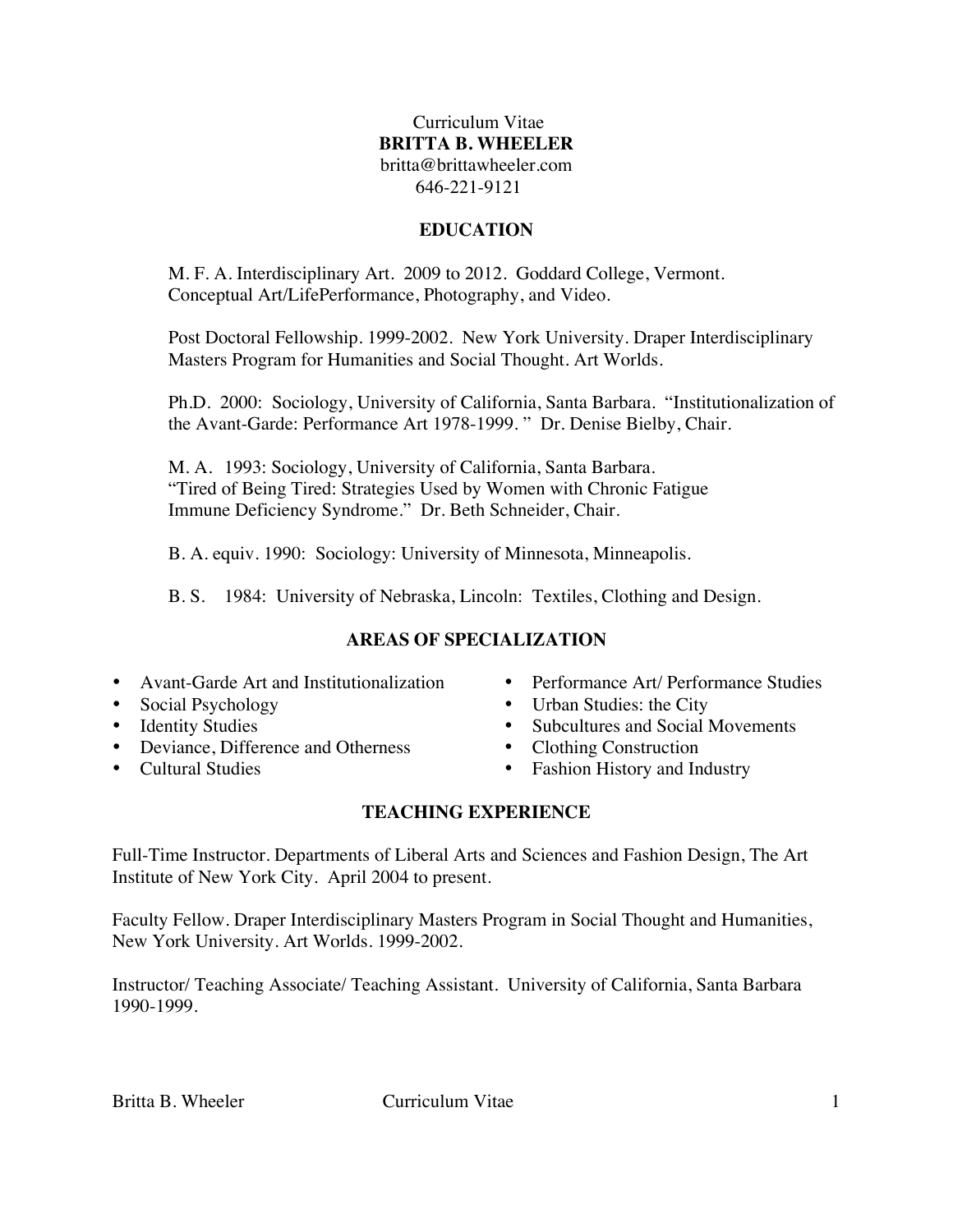# Curriculum Vitae **BRITTA B. WHEELER** britta@brittawheeler.com 646-221-9121

# **EDUCATION**

M. F. A. Interdisciplinary Art. 2009 to 2012. Goddard College, Vermont. Conceptual Art/LifePerformance, Photography, and Video.

Post Doctoral Fellowship. 1999-2002. New York University. Draper Interdisciplinary Masters Program for Humanities and Social Thought. Art Worlds.

Ph.D. 2000: Sociology, University of California, Santa Barbara. "Institutionalization of the Avant-Garde: Performance Art 1978-1999. " Dr. Denise Bielby, Chair.

M. A. 1993: Sociology, University of California, Santa Barbara. "Tired of Being Tired: Strategies Used by Women with Chronic Fatigue Immune Deficiency Syndrome." Dr. Beth Schneider, Chair.

B. A. equiv. 1990: Sociology: University of Minnesota, Minneapolis.

B. S. 1984: University of Nebraska, Lincoln: Textiles, Clothing and Design.

# **AREAS OF SPECIALIZATION**

- Avant-Garde Art and Institutionalization
- Social Psychology
- Identity Studies
- Deviance, Difference and Otherness
- Cultural Studies
- Performance Art/ Performance Studies
- Urban Studies: the City
- Subcultures and Social Movements<br>• Clothing Construction
- Clothing Construction
- Fashion History and Industry

# **TEACHING EXPERIENCE**

Full-Time Instructor. Departments of Liberal Arts and Sciences and Fashion Design, The Art Institute of New York City. April 2004 to present.

Faculty Fellow. Draper Interdisciplinary Masters Program in Social Thought and Humanities, New York University. Art Worlds. 1999-2002.

Instructor/ Teaching Associate/ Teaching Assistant. University of California, Santa Barbara 1990-1999.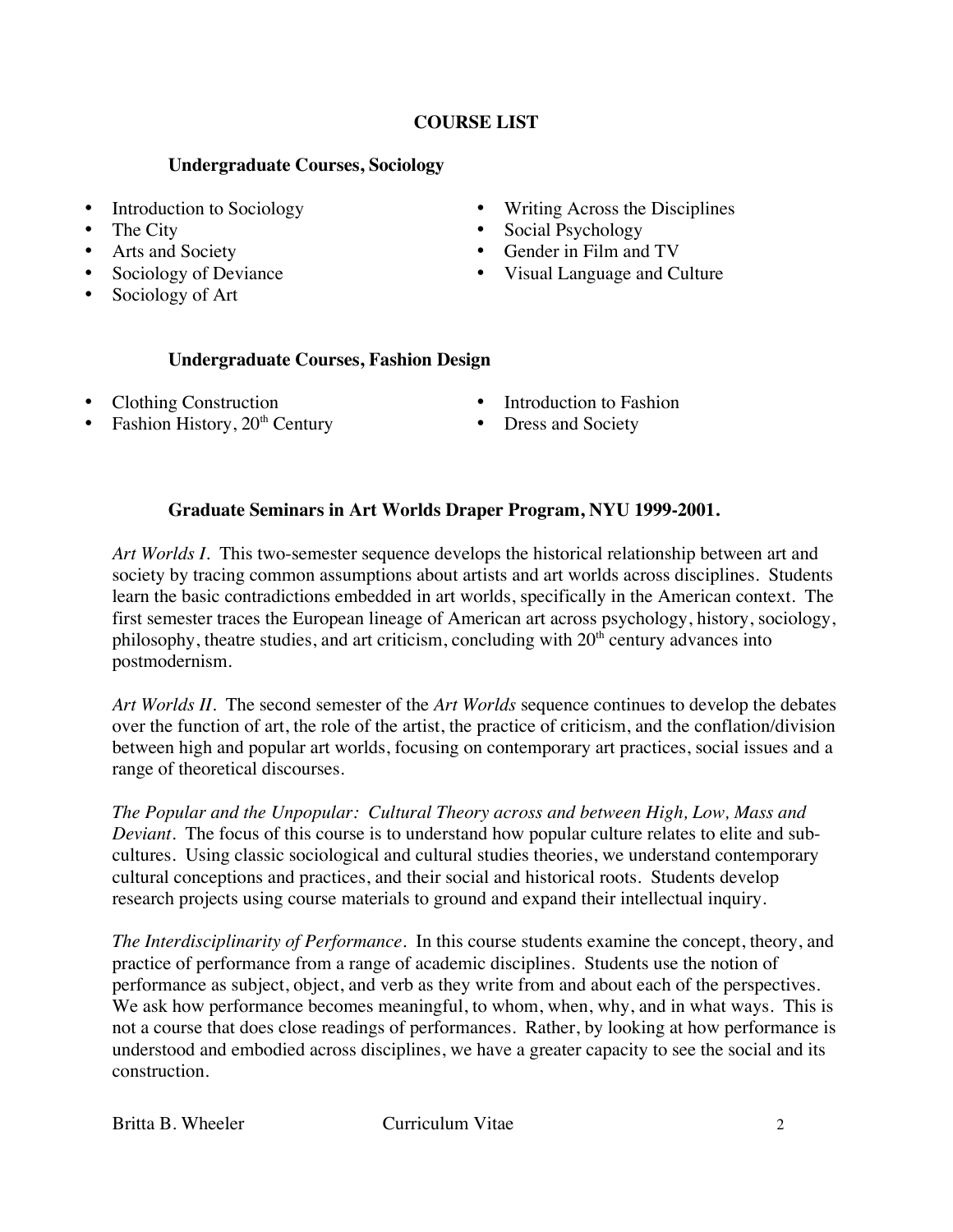# **COURSE LIST**

# **Undergraduate Courses, Sociology**

- Introduction to Sociology
- The City
- Arts and Society
- Sociology of Deviance
- Sociology of Art
- Writing Across the Disciplines
- Social Psychology
- Gender in Film and TV
- Visual Language and Culture

# **Undergraduate Courses, Fashion Design**

- Clothing Construction
- Fashion History, 20<sup>th</sup> Century
- Introduction to Fashion
- Dress and Society

# **Graduate Seminars in Art Worlds Draper Program, NYU 1999-2001.**

*Art Worlds I.* This two-semester sequence develops the historical relationship between art and society by tracing common assumptions about artists and art worlds across disciplines. Students learn the basic contradictions embedded in art worlds, specifically in the American context. The first semester traces the European lineage of American art across psychology, history, sociology, philosophy, theatre studies, and art criticism, concluding with  $20<sup>th</sup>$  century advances into postmodernism.

*Art Worlds II.* The second semester of the *Art Worlds* sequence continues to develop the debates over the function of art, the role of the artist, the practice of criticism, and the conflation/division between high and popular art worlds, focusing on contemporary art practices, social issues and a range of theoretical discourses.

*The Popular and the Unpopular: Cultural Theory across and between High, Low, Mass and Deviant.* The focus of this course is to understand how popular culture relates to elite and subcultures. Using classic sociological and cultural studies theories, we understand contemporary cultural conceptions and practices, and their social and historical roots. Students develop research projects using course materials to ground and expand their intellectual inquiry.

*The Interdisciplinarity of Performance.* In this course students examine the concept, theory, and practice of performance from a range of academic disciplines. Students use the notion of performance as subject, object, and verb as they write from and about each of the perspectives. We ask how performance becomes meaningful, to whom, when, why, and in what ways. This is not a course that does close readings of performances. Rather, by looking at how performance is understood and embodied across disciplines, we have a greater capacity to see the social and its construction.

Britta B. Wheeler Curriculum Vitae 2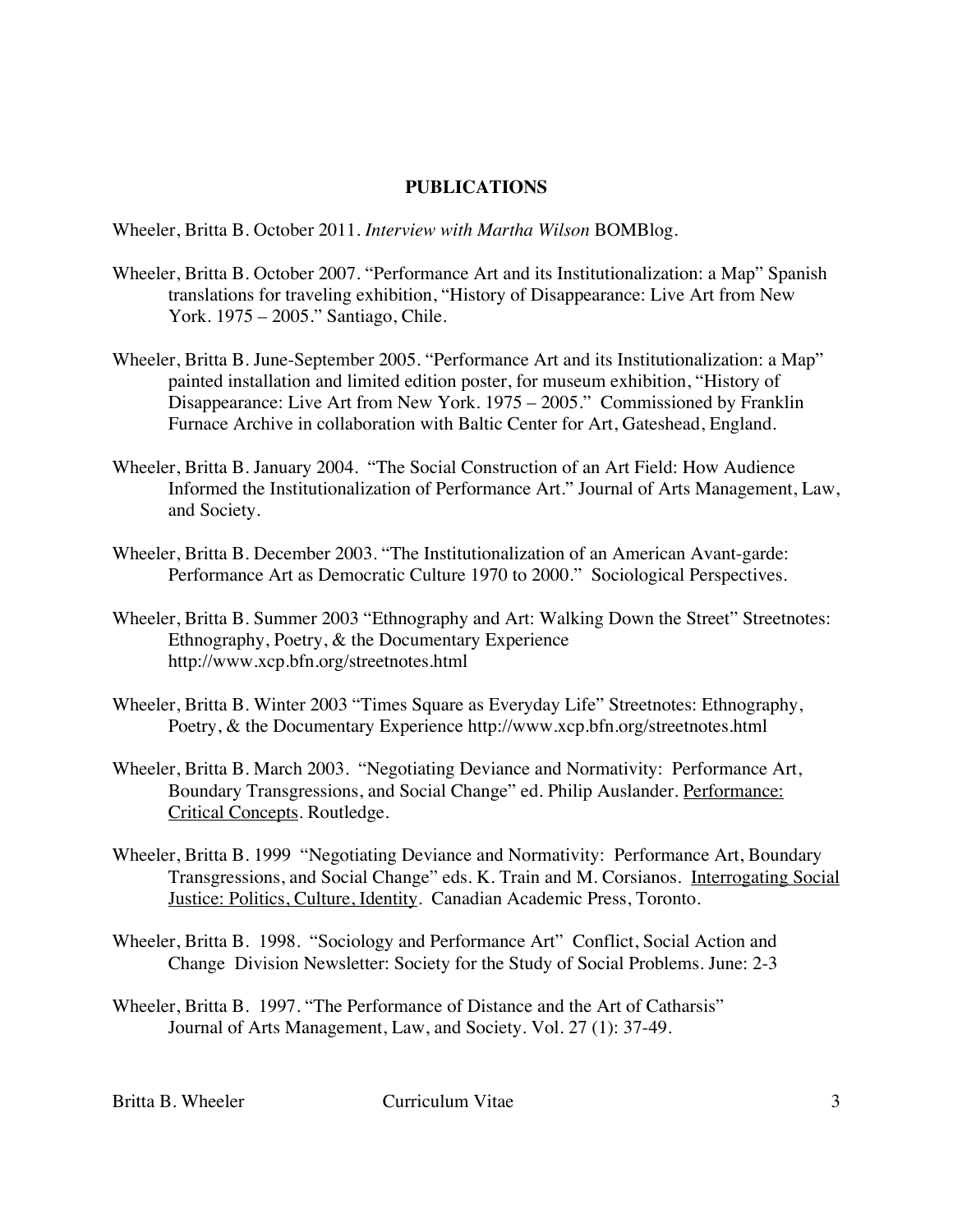#### **PUBLICATIONS**

Wheeler, Britta B. October 2011. *Interview with Martha Wilson* BOMBlog.

- Wheeler, Britta B. October 2007. "Performance Art and its Institutionalization: a Map" Spanish translations for traveling exhibition, "History of Disappearance: Live Art from New York. 1975 – 2005." Santiago, Chile.
- Wheeler, Britta B. June-September 2005. "Performance Art and its Institutionalization: a Map" painted installation and limited edition poster, for museum exhibition, "History of Disappearance: Live Art from New York. 1975 – 2005." Commissioned by Franklin Furnace Archive in collaboration with Baltic Center for Art, Gateshead, England.
- Wheeler, Britta B. January 2004. "The Social Construction of an Art Field: How Audience Informed the Institutionalization of Performance Art." Journal of Arts Management, Law, and Society.
- Wheeler, Britta B. December 2003. "The Institutionalization of an American Avant-garde: Performance Art as Democratic Culture 1970 to 2000." Sociological Perspectives.
- Wheeler, Britta B. Summer 2003 "Ethnography and Art: Walking Down the Street" Streetnotes: Ethnography, Poetry, & the Documentary Experience http://www.xcp.bfn.org/streetnotes.html
- Wheeler, Britta B. Winter 2003 "Times Square as Everyday Life" Streetnotes: Ethnography, Poetry, & the Documentary Experience http://www.xcp.bfn.org/streetnotes.html
- Wheeler, Britta B. March 2003. "Negotiating Deviance and Normativity: Performance Art, Boundary Transgressions, and Social Change" ed. Philip Auslander. Performance: Critical Concepts. Routledge.
- Wheeler, Britta B. 1999 "Negotiating Deviance and Normativity: Performance Art, Boundary Transgressions, and Social Change" eds. K. Train and M. Corsianos. Interrogating Social Justice: Politics, Culture, Identity. Canadian Academic Press, Toronto.
- Wheeler, Britta B. 1998. "Sociology and Performance Art" Conflict, Social Action and Change Division Newsletter: Society for the Study of Social Problems. June: 2-3
- Wheeler, Britta B. 1997. "The Performance of Distance and the Art of Catharsis" Journal of Arts Management, Law, and Society. Vol. 27 (1): 37-49.

Britta B. Wheeler Curriculum Vitae 3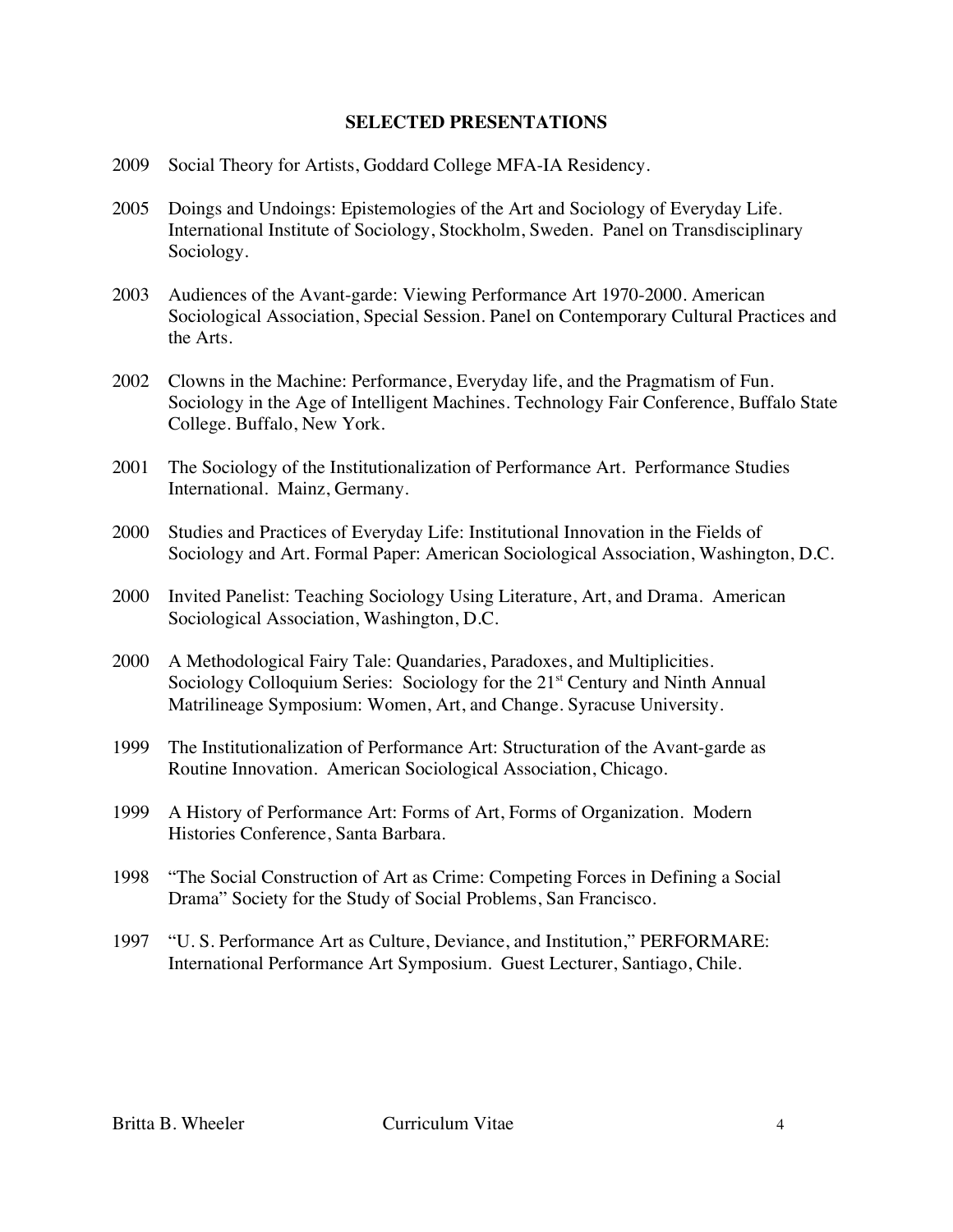#### **SELECTED PRESENTATIONS**

- 2009 Social Theory for Artists, Goddard College MFA-IA Residency.
- 2005 Doings and Undoings: Epistemologies of the Art and Sociology of Everyday Life. International Institute of Sociology, Stockholm, Sweden. Panel on Transdisciplinary Sociology.
- 2003 Audiences of the Avant-garde: Viewing Performance Art 1970-2000. American Sociological Association, Special Session. Panel on Contemporary Cultural Practices and the Arts.
- 2002 Clowns in the Machine: Performance, Everyday life, and the Pragmatism of Fun. Sociology in the Age of Intelligent Machines. Technology Fair Conference, Buffalo State College. Buffalo, New York.
- 2001 The Sociology of the Institutionalization of Performance Art. Performance Studies International. Mainz, Germany.
- 2000 Studies and Practices of Everyday Life: Institutional Innovation in the Fields of Sociology and Art. Formal Paper: American Sociological Association, Washington, D.C.
- 2000 Invited Panelist: Teaching Sociology Using Literature, Art, and Drama. American Sociological Association, Washington, D.C.
- 2000 A Methodological Fairy Tale: Quandaries, Paradoxes, and Multiplicities. Sociology Colloquium Series: Sociology for the 21<sup>st</sup> Century and Ninth Annual Matrilineage Symposium: Women, Art, and Change. Syracuse University.
- 1999 The Institutionalization of Performance Art: Structuration of the Avant-garde as Routine Innovation. American Sociological Association, Chicago.
- 1999 A History of Performance Art: Forms of Art, Forms of Organization. Modern Histories Conference, Santa Barbara.
- 1998 "The Social Construction of Art as Crime: Competing Forces in Defining a Social Drama" Society for the Study of Social Problems, San Francisco.
- 1997 "U. S. Performance Art as Culture, Deviance, and Institution," PERFORMARE: International Performance Art Symposium. Guest Lecturer, Santiago, Chile.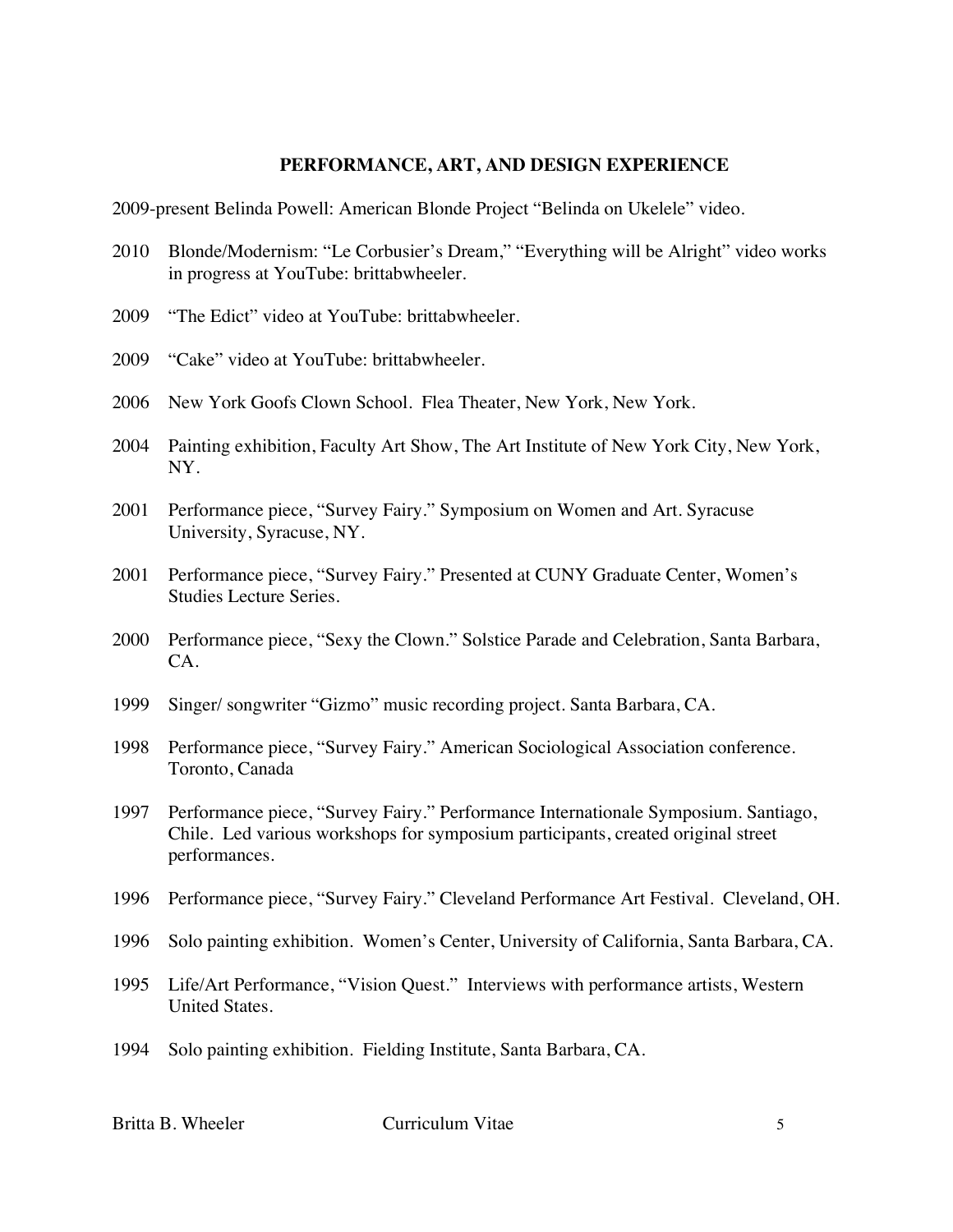#### **PERFORMANCE, ART, AND DESIGN EXPERIENCE**

2009-present Belinda Powell: American Blonde Project "Belinda on Ukelele" video.

- 2010 Blonde/Modernism: "Le Corbusier's Dream," "Everything will be Alright" video works in progress at YouTube: brittabwheeler.
- 2009 "The Edict" video at YouTube: brittabwheeler.
- 2009 "Cake" video at YouTube: brittabwheeler.
- 2006 New York Goofs Clown School. Flea Theater, New York, New York.
- 2004 Painting exhibition, Faculty Art Show, The Art Institute of New York City, New York, NY.
- 2001 Performance piece, "Survey Fairy." Symposium on Women and Art. Syracuse University, Syracuse, NY.
- 2001 Performance piece, "Survey Fairy." Presented at CUNY Graduate Center, Women's Studies Lecture Series.
- 2000 Performance piece, "Sexy the Clown." Solstice Parade and Celebration, Santa Barbara, CA.
- 1999 Singer/ songwriter "Gizmo" music recording project. Santa Barbara, CA.
- 1998 Performance piece, "Survey Fairy." American Sociological Association conference. Toronto, Canada
- 1997 Performance piece, "Survey Fairy." Performance Internationale Symposium. Santiago, Chile. Led various workshops for symposium participants, created original street performances.
- 1996 Performance piece, "Survey Fairy." Cleveland Performance Art Festival. Cleveland, OH.
- 1996 Solo painting exhibition. Women's Center, University of California, Santa Barbara, CA.
- 1995 Life/Art Performance, "Vision Quest." Interviews with performance artists, Western United States.
- 1994 Solo painting exhibition. Fielding Institute, Santa Barbara, CA.

Britta B. Wheeler Curriculum Vitae 5